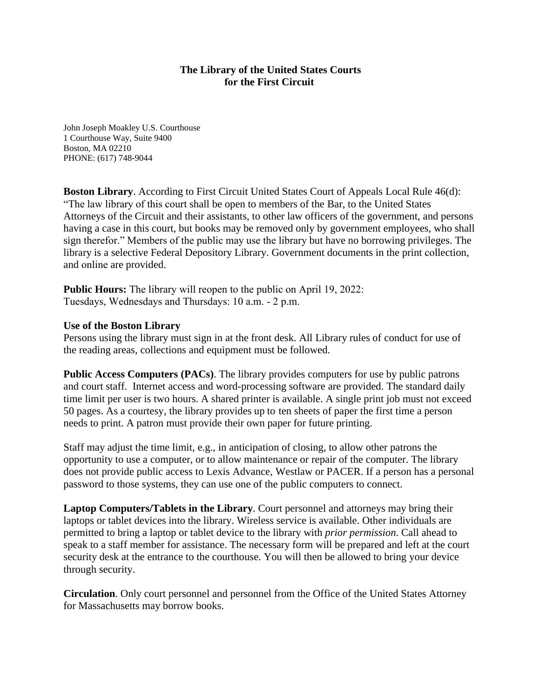## **The Library of the United States Courts for the First Circuit**

John Joseph Moakley U.S. Courthouse 1 Courthouse Way, Suite 9400 Boston, MA 02210 PHONE: (617) 748-9044

**Boston Library**. According to First Circuit United States Court of Appeals Local Rule 46(d): "The law library of this court shall be open to members of the Bar, to the United States Attorneys of the Circuit and their assistants, to other law officers of the government, and persons having a case in this court, but books may be removed only by government employees, who shall sign therefor." Members of the public may use the library but have no borrowing privileges. The library is a selective Federal Depository Library. Government documents in the print collection, and online are provided.

**Public Hours:** The library will reopen to the public on April 19, 2022: Tuesdays, Wednesdays and Thursdays: 10 a.m. - 2 p.m.

## **Use of the Boston Library**

Persons using the library must sign in at the front desk. All Library rules of conduct for use of the reading areas, collections and equipment must be followed.

**Public Access Computers (PACs)**. The library provides computers for use by public patrons and court staff. Internet access and word-processing software are provided. The standard daily time limit per user is two hours. A shared printer is available. A single print job must not exceed 50 pages. As a courtesy, the library provides up to ten sheets of paper the first time a person needs to print. A patron must provide their own paper for future printing.

Staff may adjust the time limit, e.g., in anticipation of closing, to allow other patrons the opportunity to use a computer, or to allow maintenance or repair of the computer. The library does not provide public access to Lexis Advance, Westlaw or PACER. If a person has a personal password to those systems, they can use one of the public computers to connect.

**Laptop Computers/Tablets in the Library**. Court personnel and attorneys may bring their laptops or tablet devices into the library. Wireless service is available. Other individuals are permitted to bring a laptop or tablet device to the library with *prior permission*. Call ahead to speak to a staff member for assistance. The necessary form will be prepared and left at the court security desk at the entrance to the courthouse. You will then be allowed to bring your device through security.

**Circulation**. Only court personnel and personnel from the Office of the United States Attorney for Massachusetts may borrow books.